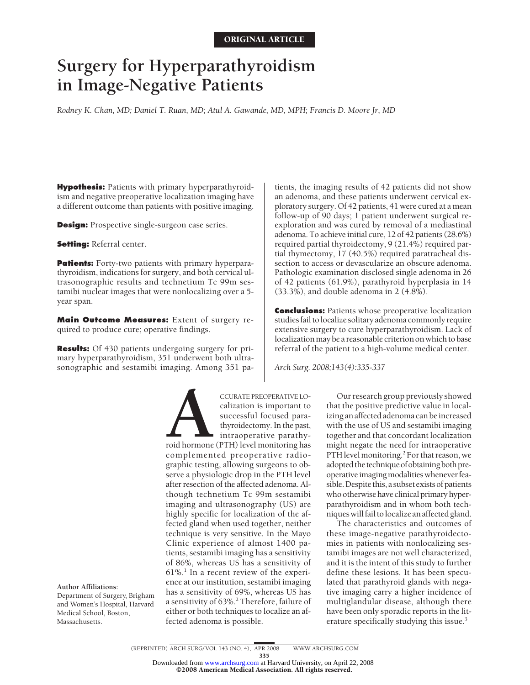# **Surgery for Hyperparathyroidism in Image-Negative Patients**

*Rodney K. Chan, MD; Daniel T. Ruan, MD; Atul A. Gawande, MD, MPH; Francis D. Moore Jr, MD*

**Hypothesis:** Patients with primary hyperparathyroidism and negative preoperative localization imaging have a different outcome than patients with positive imaging.

**Design:** Prospective single-surgeon case series.

**Setting:** Referral center.

**Patients:** Forty-two patients with primary hyperparathyroidism, indications for surgery, and both cervical ultrasonographic results and technetium Tc 99m sestamibi nuclear images that were nonlocalizing over a 5 year span.

**Main Outcome Measures:** Extent of surgery required to produce cure; operative findings.

**Results:** Of 430 patients undergoing surgery for primary hyperparathyroidism, 351 underwent both ultrasonographic and sestamibi imaging. Among 351 pa-

tients, the imaging results of 42 patients did not show an adenoma, and these patients underwent cervical exploratory surgery. Of 42 patients, 41 were cured at a mean follow-up of 90 days; 1 patient underwent surgical reexploration and was cured by removal of a mediastinal adenoma. To achieve initial cure, 12 of 42 patients (28.6%) required partial thyroidectomy, 9 (21.4%) required partial thymectomy, 17 (40.5%) required paratracheal dissection to access or devascularize an obscure adenoma. Pathologic examination disclosed single adenoma in 26 of 42 patients (61.9%), parathyroid hyperplasia in 14 (33.3%), and double adenoma in 2 (4.8%).

**Conclusions:** Patients whose preoperative localization studies fail to localize solitary adenoma commonly require extensive surgery to cure hyperparathyroidism. Lack of localization may be a reasonable criterion on which to base referral of the patient to a high-volume medical center.

*Arch Surg. 2008;143(4):335-337*

**A** CCURATE PREOPERATIVE LO-<br>
calization is important to<br>
successful focused para-<br>
thyroidectomy. In the past,<br>
intraoperative parathy-<br>
roid hormone (PTH) level monitoring has<br>
complemented preoperative radiocalization is important to successful focused parathyroidectomy. In the past, intraoperative parathy-

complemented preoperative radiographic testing, allowing surgeons to observe a physiologic drop in the PTH level after resection of the affected adenoma. Although technetium Tc 99m sestamibi imaging and ultrasonography (US) are highly specific for localization of the affected gland when used together, neither technique is very sensitive. In the Mayo Clinic experience of almost 1400 patients, sestamibi imaging has a sensitivity of 86%, whereas US has a sensitivity of  $61\%$ <sup>1</sup> In a recent review of the experience at our institution, sestamibi imaging has a sensitivity of 69%, whereas US has a sensitivity of 63%.<sup>2</sup> Therefore, failure of either or both techniques to localize an affected adenoma is possible.

Our research group previously showed that the positive predictive value in localizing an affected adenoma can be increased with the use of US and sestamibi imaging together and that concordant localization might negate the need for intraoperative PTH level monitoring.<sup>2</sup> For that reason, we adopted the technique of obtaining both preoperative imaging modalities whenever feasible. Despite this, a subset exists of patients who otherwise have clinical primary hyperparathyroidism and in whom both techniques will fail to localize an affected gland.

The characteristics and outcomes of these image-negative parathyroidectomies in patients with nonlocalizing sestamibi images are not well characterized, and it is the intent of this study to further define these lesions. It has been speculated that parathyroid glands with negative imaging carry a higher incidence of multiglandular disease, although there have been only sporadic reports in the literature specifically studying this issue.<sup>3</sup>

**Author Affiliations:** Department of Surgery, Brigham

and Women's Hospital, Harvard Medical School, Boston, Massachusetts.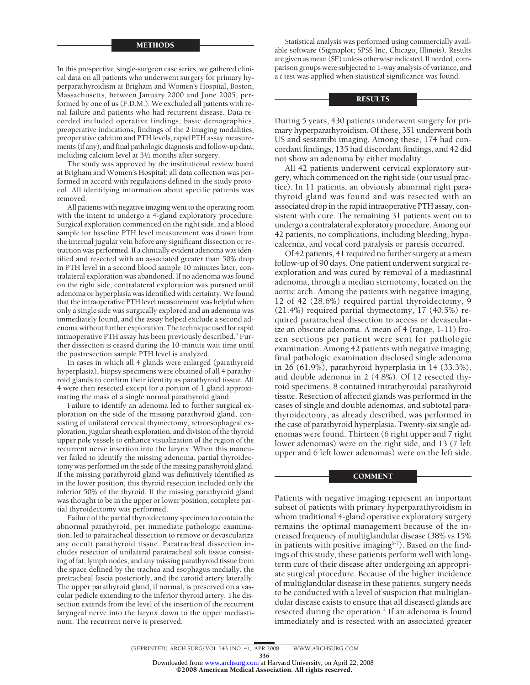### METHODS

In this prospective, single-surgeon case series, we gathered clinical data on all patients who underwent surgery for primary hyperparathyroidism at Brigham and Women's Hospital, Boston, Massachusetts, between January 2000 and June 2005, performed by one of us (F.D.M.). We excluded all patients with renal failure and patients who had recurrent disease. Data recorded included operative findings, basic demographics, preoperative indications, findings of the 2 imaging modalities, preoperative calcium and PTH levels, rapid PTH assay measurements (if any), and final pathologic diagnosis and follow-up data, including calcium level at 31⁄2 months after surgery.

The study was approved by the institutional review board at Brigham and Women's Hospital; all data collection was performed in accord with regulations defined in the study protocol. All identifying information about specific patients was removed.

All patients with negative imaging went to the operating room with the intent to undergo a 4-gland exploratory procedure. Surgical exploration commenced on the right side, and a blood sample for baseline PTH level measurement was drawn from the internal jugular vein before any significant dissection or retraction was performed. If a clinically evident adenoma was identified and resected with an associated greater than 50% drop in PTH level in a second blood sample 10 minutes later, contralateral exploration was abandoned. If no adenoma was found on the right side, contralateral exploration was pursued until adenoma or hyperplasia was identified with certainty. We found that the intraoperative PTH level measurement was helpful when only a single side was surgically explored and an adenoma was immediately found, and the assay helped exclude a second adenoma without further exploration. The technique used for rapid intraoperative PTH assay has been previously described.<sup>4</sup> Further dissection is ceased during the 10-minute wait time until the postresection sample PTH level is analyzed.

In cases in which all 4 glands were enlarged (parathyroid hyperplasia), biopsy specimens were obtained of all 4 parathyroid glands to confirm their identity as parathyroid tissue. All 4 were then resected except for a portion of 1 gland approximating the mass of a single normal parathyroid gland.

Failure to identify an adenoma led to further surgical exploration on the side of the missing parathyroid gland, consisting of unilateral cervical thymectomy, retroesophageal exploration, jugular sheath exploration, and division of the thyroid upper pole vessels to enhance visualization of the region of the recurrent nerve insertion into the larynx. When this maneuver failed to identify the missing adenoma, partial thyroidectomy was performed on the side of the missing parathyroid gland. If the missing parathyroid gland was definitively identified as in the lower position, this thyroid resection included only the inferior 50% of the thyroid. If the missing parathyroid gland was thought to be in the upper or lower position, complete partial thyroidectomy was performed.

Failure of the partial thyroidectomy specimen to contain the abnormal parathyroid, per immediate pathologic examination, led to paratracheal dissection to remove or devascularize any occult parathyroid tissue. Paratracheal dissection includes resection of unilateral paratracheal soft tissue consisting of fat, lymph nodes, and any missing parathyroid tissue from the space defined by the trachea and esophagus medially, the pretracheal fascia posteriorly, and the carotid artery laterally. The upper parathyroid gland, if normal, is preserved on a vascular pedicle extending to the inferior thyroid artery. The dissection extends from the level of the insertion of the recurrent laryngeal nerve into the larynx down to the upper mediastinum. The recurrent nerve is preserved.

Statistical analysis was performed using commercially available software (Sigmaplot; SPSS Inc, Chicago, Illinois). Results are given as mean (SE) unless otherwise indicated. If needed, comparison groups were subjected to 1-way analysis of variance, and a *t* test was applied when statistical significance was found.

## RESULTS

During 5 years, 430 patients underwent surgery for primary hyperparathyroidism. Of these, 351 underwent both US and sestamibi imaging. Among these, 174 had concordant findings, 135 had discordant findings, and 42 did not show an adenoma by either modality.

All 42 patients underwent cervical exploratory surgery, which commenced on the right side (our usual practice). In 11 patients, an obviously abnormal right parathyroid gland was found and was resected with an associated drop in the rapid intraoperative PTH assay, consistent with cure. The remaining 31 patients went on to undergo a contralateral exploratory procedure. Among our 42 patients, no complications, including bleeding, hypocalcemia, and vocal cord paralysis or paresis occurred.

Of 42 patients, 41 required no further surgery at a mean follow-up of 90 days. One patient underwent surgical reexploration and was cured by removal of a mediastinal adenoma, through a median sternotomy, located on the aortic arch. Among the patients with negative imaging, 12 of 42 (28.6%) required partial thyroidectomy, 9 (21.4%) required partial thymectomy, 17 (40.5%) required paratracheal dissection to access or devascularize an obscure adenoma. A mean of 4 (range, 1-11) frozen sections per patient were sent for pathologic examination. Among 42 patients with negative imaging, final pathologic examination disclosed single adenoma in 26 (61.9%), parathyroid hyperplasia in 14 (33.3%), and double adenoma in 2 (4.8%). Of 12 resected thyroid specimens, 8 contained intrathyroidal parathyroid tissue. Resection of affected glands was performed in the cases of single and double adenomas, and subtotal parathyroidectomy, as already described, was performed in the case of parathyroid hyperplasia. Twenty-six single adenomas were found. Thirteen (6 right upper and 7 right lower adenomas) were on the right side, and 13 (7 left upper and 6 left lower adenomas) were on the left side.

### **COMMENT**

Patients with negative imaging represent an important subset of patients with primary hyperparathyroidism in whom traditional 4-gland operative exploratory surgery remains the optimal management because of the increased frequency of multiglandular disease (38% vs 15% in patients with positive imaging<sup>5-7</sup>). Based on the findings of this study, these patients perform well with longterm cure of their disease after undergoing an appropriate surgical procedure. Because of the higher incidence of multiglandular disease in these patients, surgery needs to be conducted with a level of suspicion that multiglandular disease exists to ensure that all diseased glands are resected during the operation.<sup>2</sup> If an adenoma is found immediately and is resected with an associated greater